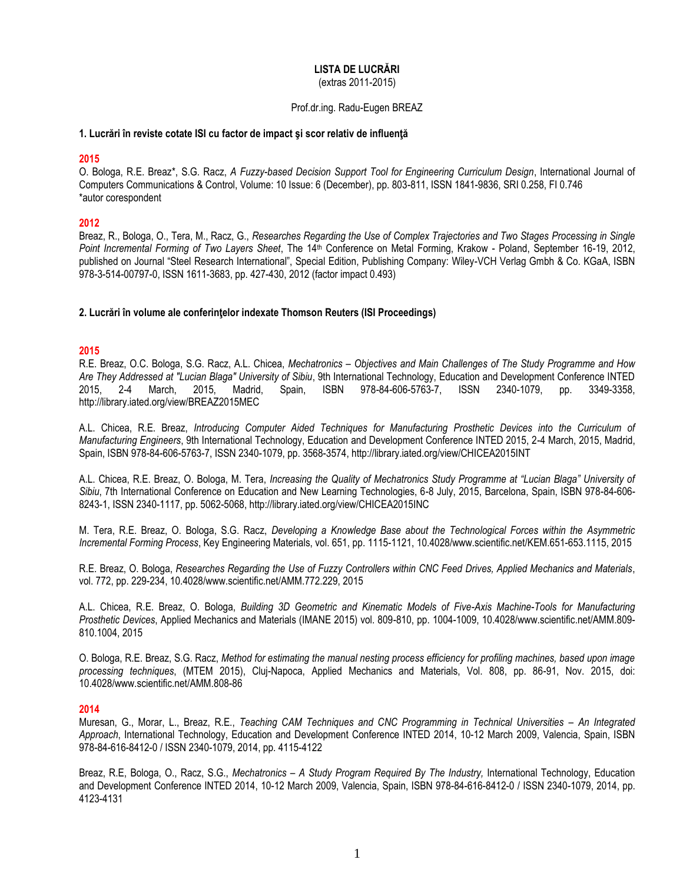### **LISTA DE LUCRĂRI** (extras 2011-2015)

### Prof.dr.ing. Radu-Eugen BREAZ

#### **1. Lucrări în reviste cotate ISI cu factor de impact şi scor relativ de influenţă**

### **2015**

O. Bologa, R.E. Breaz\*, S.G. Racz, *A Fuzzy-based Decision Support Tool for Engineering Curriculum Design*, International Journal of Computers Communications & Control, Volume: 10 Issue: 6 (December), pp. 803-811, ISSN 1841-9836, SRI 0.258, FI 0.746 \*autor corespondent

## **2012**

Breaz, R., Bologa, O., Tera, M., Racz, G., *Researches Regarding the Use of Complex Trajectories and Two Stages Processing in Single Point Incremental Forming of Two Layers Sheet*, The 14th Conference on Metal Forming, Krakow - Poland, September 16-19, 2012, published on Journal "Steel Research International", Special Edition, Publishing Company: Wiley-VCH Verlag Gmbh & Co. KGaA, ISBN 978-3-514-00797-0, ISSN 1611-3683, pp. 427-430, 2012 (factor impact 0.493)

## **2. Lucrări în volume ale conferinţelor indexate Thomson Reuters (ISI Proceedings)**

# **2015**

R.E. Breaz, O.C. Bologa, S.G. Racz, A.L. Chicea, *Mechatronics – Objectives and Main Challenges of The Study Programme and How Are They Addressed at "Lucian Blaga" University of Sibiu*, 9th International Technology, Education and Development Conference INTED 2015, 2-4 March, 2015, Madrid, Spain, ISBN 978-84-606-5763-7, ISSN 2340-1079, pp. 3349-3358, http://library.iated.org/view/BREAZ2015MEC

A.L. Chicea, R.E. Breaz, *Introducing Computer Aided Techniques for Manufacturing Prosthetic Devices into the Curriculum of Manufacturing Engineers*, 9th International Technology, Education and Development Conference INTED 2015, 2-4 March, 2015, Madrid, Spain, ISBN 978-84-606-5763-7, ISSN 2340-1079, pp. 3568-3574, http://library.iated.org/view/CHICEA2015INT

A.L. Chicea, R.E. Breaz, O. Bologa, M. Tera, *Increasing the Quality of Mechatronics Study Programme at "Lucian Blaga" University of Sibiu*, 7th International Conference on Education and New Learning Technologies, 6-8 July, 2015, Barcelona, Spain, ISBN 978-84-606- 8243-1, ISSN 2340-1117, pp. 5062-5068, http://library.iated.org/view/CHICEA2015INC

M. Tera, R.E. Breaz, O. Bologa, S.G. Racz, *Developing a Knowledge Base about the Technological Forces within the Asymmetric Incremental Forming Process*, Key Engineering Materials, vol. 651, pp. 1115-1121, 10.4028/www.scientific.net/KEM.651-653.1115, 2015

R.E. Breaz, O. Bologa, *Researches Regarding the Use of Fuzzy Controllers within CNC Feed Drives, Applied Mechanics and Materials*, vol. 772, pp. 229-234, 10.4028/www.scientific.net/AMM.772.229, 2015

A.L. Chicea, R.E. Breaz, O. Bologa, *Building 3D Geometric and Kinematic Models of Five-Axis Machine-Tools for Manufacturing Prosthetic Devices*, Applied Mechanics and Materials (IMANE 2015) vol. 809-810, pp. 1004-1009, 10.4028/www.scientific.net/AMM.809- 810.1004, 2015

O. Bologa, R.E. Breaz, S.G. Racz, *Method for estimating the manual nesting process efficiency for profiling machines, based upon image processing techniques*, (MTEM 2015), Cluj-Napoca, Applied Mechanics and Materials, Vol. 808, pp. 86-91, Nov. 2015, doi: 10.4028/www.scientific.net/AMM.808-86

## **2014**

Muresan, G., Morar, L., Breaz, R.E., *Teaching CAM Techniques and CNC Programming in Technical Universities - An Integrated Approach*, International Technology, Education and Development Conference INTED 2014, 10-12 March 2009, Valencia, Spain, ISBN 978-84-616-8412-0 / ISSN 2340-1079, 2014, pp. 4115-4122

Breaz, R.E, Bologa, O., Racz, S.G., *Mechatronics – A Study Program Required By The Industry,* International Technology, Education and Development Conference INTED 2014, 10-12 March 2009, Valencia, Spain, ISBN 978-84-616-8412-0 / ISSN 2340-1079, 2014, pp. 4123-4131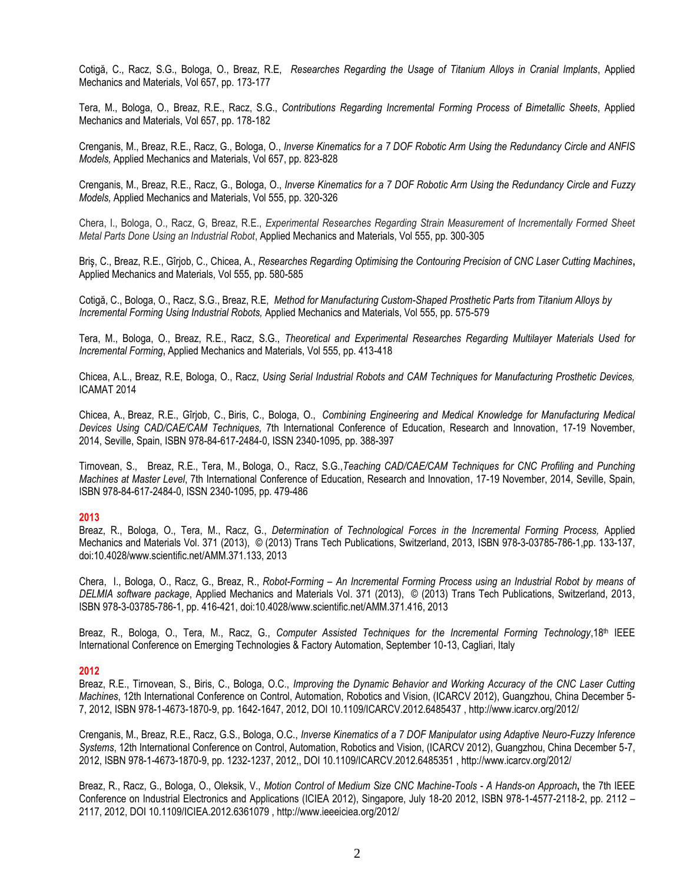Cotigă, C., Racz, S.G., Bologa, O., Breaz, R.E, *Researches Regarding the Usage of Titanium Alloys in Cranial Implants*, Applied Mechanics and Materials, Vol 657, pp. 173-177

Tera, M., Bologa, O., Breaz, R.E., Racz, S.G., *Contributions Regarding Incremental Forming Process of Bimetallic Sheets*, Applied Mechanics and Materials, Vol 657, pp. 178-182

Crenganis, M., Breaz, R.E., Racz, G., Bologa, O., *Inverse Kinematics for a 7 DOF Robotic Arm Using the Redundancy Circle and ANFIS Models,* Applied Mechanics and Materials, Vol 657, pp. 823-828

Crenganis, M., Breaz, R.E., Racz, G., Bologa, O., *Inverse Kinematics for a 7 DOF Robotic Arm Using the Redundancy Circle and Fuzzy Models,* Applied Mechanics and Materials, Vol 555, pp. 320-326

Chera, I., Bologa, O., Racz, G, Breaz, R.E., *Experimental Researches Regarding Strain Measurement of Incrementally Formed Sheet Metal Parts Done Using an Industrial Robot*, Applied Mechanics and Materials, Vol 555, pp. 300-305

Briş, C., Breaz, R.E., Gîrjob, C., Chicea, A., *Researches Regarding Optimising the Contouring Precision of CNC Laser Cutting Machines***,**  Applied Mechanics and Materials, Vol 555, pp. 580-585

Cotigă, C., Bologa, O., Racz, S.G., Breaz, R.E, *Method for Manufacturing Custom-Shaped Prosthetic Parts from Titanium Alloys by Incremental Forming Using Industrial Robots,* Applied Mechanics and Materials, Vol 555, pp. 575-579

Tera, M., Bologa, O., Breaz, R.E., Racz, S.G., *Theoretical and Experimental Researches Regarding Multilayer Materials Used for Incremental Forming***,** Applied Mechanics and Materials, Vol 555, pp. 413-418

Chicea, A.L., Breaz, R.E, Bologa, O., Racz, *Using Serial Industrial Robots and CAM Techniques for Manufacturing Prosthetic Devices,*  ICAMAT 2014

Chicea, A., Breaz, R.E., Gîrjob, C., Biris, C., Bologa, O., *Combining Engineering and Medical Knowledge for Manufacturing Medical Devices Using CAD/CAE/CAM Techniques,* 7th International Conference of Education, Research and Innovation, 17-19 November, 2014, Seville, Spain, ISBN 978-84-617-2484-0, ISSN 2340-1095, pp. 388-397

Tirnovean, S., Breaz, R.E., Tera, M., Bologa, O., Racz, S.G.,*Teaching CAD/CAE/CAM Techniques for CNC Profiling and Punching Machines at Master Level*, 7th International Conference of Education, Research and Innovation, 17-19 November, 2014, Seville, Spain, ISBN 978-84-617-2484-0, ISSN 2340-1095, pp. 479-486

#### **2013**

Breaz, R., Bologa, O., Tera, M., Racz, G., *Determination of Technological Forces in the Incremental Forming Process,* Applied Mechanics and Materials Vol. 371 (2013), © (2013) Trans Tech Publications, Switzerland, 2013, ISBN 978-3-03785-786-1,pp. 133-137, doi:10.4028/www.scientific.net/AMM.371.133, 2013

Chera, I., Bologa, O., Racz, G., Breaz, R., *Robot-Forming – An Incremental Forming Process using an Industrial Robot by means of DELMIA software package*, Applied Mechanics and Materials Vol. 371 (2013), © (2013) Trans Tech Publications, Switzerland, 2013, ISBN 978-3-03785-786-1, pp. 416-421, doi:10.4028/www.scientific.net/AMM.371.416, 2013

Breaz, R., Bologa, O., Tera, M., Racz, G., *Computer Assisted Techniques for the Incremental Forming Technology*,18th IEEE International Conference on Emerging Technologies & Factory Automation, September 10-13, Cagliari, Italy

#### **2012**

Breaz, R.E., Tirnovean, S., Biris, C., Bologa, O.C., *Improving the Dynamic Behavior and Working Accuracy of the CNC Laser Cutting Machines*, 12th International Conference on Control, Automation, Robotics and Vision, (ICARCV 2012), Guangzhou, China December 5- 7, 2012, ISBN 978-1-4673-1870-9, pp. 1642-1647, 2012, DOI [10.1109/ICARCV.2012.6485437 ,](http://dx.doi.org/10.1109/ICARCV.2012.6485437) http://www.icarcv.org/2012/

Crenganis, M., Breaz, R.E., Racz, G.S., Bologa, O.C., *Inverse Kinematics of a 7 DOF Manipulator using Adaptive Neuro-Fuzzy Inference Systems*, 12th International Conference on Control, Automation, Robotics and Vision, (ICARCV 2012), Guangzhou, China December 5-7, 2012, ISBN 978-1-4673-1870-9, pp. 1232-1237, 2012,, DOI 10.1109/ICARCV.2012.6485351 , http://www.icarcv.org/2012/

Breaz, R., Racz, G., Bologa, O., Oleksik, V., *Motion Control of Medium Size CNC Machine-Tools - A Hands-on Approach***,** the 7th IEEE Conference on Industrial Electronics and Applications (ICIEA 2012), Singapore, July 18-20 2012, ISBN 978-1-4577-2118-2, pp. 2112 – 2117, 2012, DO[I 10.1109/ICIEA.2012.6361079 ,](http://dx.doi.org/10.1109/ICIEA.2012.6361079) http://www.ieeeiciea.org/2012/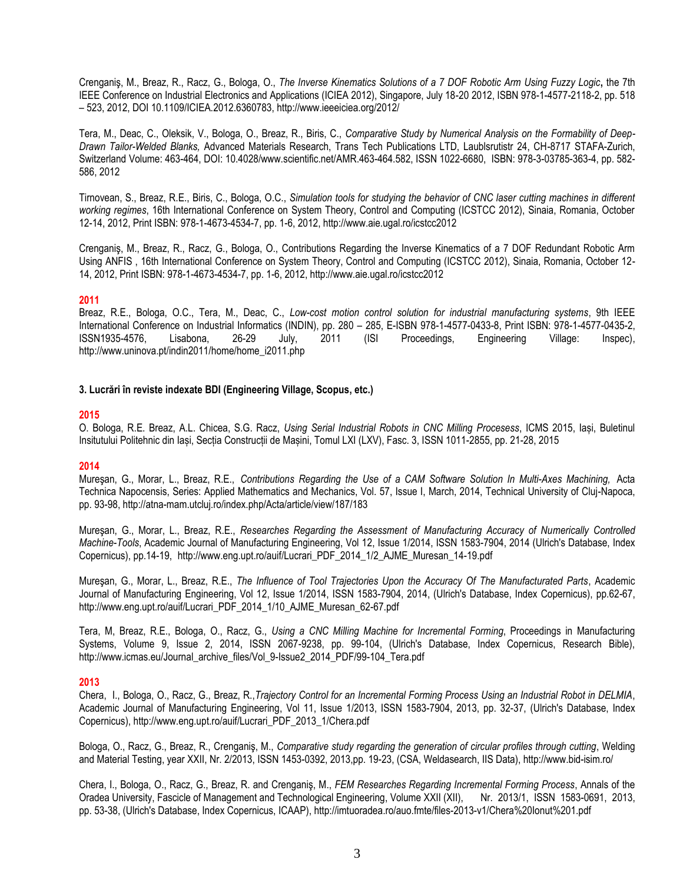Crenganiş, M., Breaz, R., Racz, G., Bologa, O., *The Inverse Kinematics Solutions of a 7 DOF Robotic Arm Using Fuzzy Logic***,** the 7th IEEE Conference on Industrial Electronics and Applications (ICIEA 2012), Singapore, July 18-20 2012, ISBN 978-1-4577-2118-2, pp. 518 – 523, 2012, DO[I 10.1109/ICIEA.2012.6360783,](http://dx.doi.org/10.1109/ICIEA.2012.6360783) http://www.ieeeiciea.org/2012/

Tera, M., Deac, C., Oleksik, V., Bologa, O., Breaz, R., Biris, C., *Comparative Study by Numerical Analysis on the Formability of Deep-Drawn Tailor-Welded Blanks,* Advanced Materials Research, Trans Tech Publications LTD, Laublsrutistr 24, CH-8717 STAFA-Zurich, Switzerland Volume: 463-464, DOI: 10.4028/www.scientific.net/AMR.463-464.582, ISSN 1022-6680, ISBN: 978-3-03785-363-4, pp. 582- 586, 2012

Tirnovean, S., Breaz, R.E., Biris, C., Bologa, O.C., *Simulation tools for studying the behavior of CNC laser cutting machines in different working regimes*, 16th International Conference on System Theory, Control and Computing (ICSTCC 2012), Sinaia, Romania, October 12-14, 2012, Print ISBN: 978-1-4673-4534-7, pp. 1-6, 2012, http://www.aie.ugal.ro/icstcc2012

Crenganiş, M., Breaz, R., Racz, G., Bologa, O., Contributions Regarding the Inverse Kinematics of a 7 DOF Redundant Robotic Arm Using ANFIS , 16th International Conference on System Theory, Control and Computing (ICSTCC 2012), Sinaia, Romania, October 12- 14, 2012, Print ISBN: 978-1-4673-4534-7, pp. 1-6, 2012, http://www.aie.ugal.ro/icstcc2012

## **2011**

Breaz, R.E., Bologa, O.C., Tera, M., Deac, C., *Low-cost motion control solution for industrial manufacturing systems*, 9th IEEE International Conference on Industrial Informatics (INDIN), pp. 280 – 285, E-ISBN 978-1-4577-0433-8, Print ISBN: 978-1-4577-0435-2, ISSN1935-4576, Lisabona, 26-29 July, 2011 (ISI Proceedings, Engineering Village: Inspec), http://www.uninova.pt/indin2011/home/home\_i2011.php

# **3. Lucrări în reviste indexate BDI (Engineering Village, Scopus, etc.)**

## **2015**

O. Bologa, R.E. Breaz, A.L. Chicea, S.G. Racz, *Using Serial Industrial Robots in CNC Milling Procesess*, ICMS 2015, Iași, Buletinul Insitutului Politehnic din Iași, Secția Construcții de Mașini, Tomul LXI (LXV), Fasc. 3, ISSN 1011-2855, pp. 21-28, 2015

## **2014**

Mureşan, G., Morar, L., Breaz, R.E., *Contributions Regarding the Use of a CAM Software Solution In Multi-Axes Machining,* Acta Technica Napocensis, Series: Applied Mathematics and Mechanics, Vol. 57, Issue I, March, 2014, Technical University of Cluj-Napoca, pp. 93-98, http://atna-mam.utcluj.ro/index.php/Acta/article/view/187/183

Mureşan, G., Morar, L., Breaz, R.E., *Researches Regarding the Assessment of Manufacturing Accuracy of Numerically Controlled Machine-Tools*, Academic Journal of Manufacturing Engineering, Vol 12, Issue 1/2014, ISSN 1583-7904, 2014 (Ulrich's Database, Index Copernicus), pp.14-19, [http://www.eng.upt.ro/auif/Lucrari\\_PDF\\_2014\\_1/2\\_AJME\\_Muresan\\_14-19.pdf](http://www.eng.upt.ro/auif/Lucrari_PDF_2014_1/2_AJME_Muresan_14-19.pdf)

Mureşan, G., Morar, L., Breaz, R.E., *The Influence of Tool Trajectories Upon the Accuracy Of The Manufacturated Parts*, Academic Journal of Manufacturing Engineering, Vol 12, Issue 1/2014, ISSN 1583-7904, 2014, (Ulrich's Database, Index Copernicus), pp.62-67, [http://www.eng.upt.ro/auif/Lucrari\\_PDF\\_2014\\_1/10\\_AJME\\_Muresan\\_62-67.pdf](http://www.eng.upt.ro/auif/Lucrari_PDF_2014_1/10_AJME_Muresan_62-67.pdf)

Tera, M, Breaz, R.E., Bologa, O., Racz, G., *Using a CNC Milling Machine for Incremental Forming*, Proceedings in Manufacturing Systems, Volume 9, Issue 2, 2014, ISSN 2067-9238, pp. 99-104, (Ulrich's Database, Index Copernicus, Research Bible), http://www.icmas.eu/Journal\_archive\_files/Vol\_9-Issue2\_2014\_PDF/99-104\_Tera.pdf

## **2013**

Chera, I., Bologa, O., Racz, G., Breaz, R.,*Trajectory Control for an Incremental Forming Process Using an Industrial Robot in DELMIA*, Academic Journal of Manufacturing Engineering, Vol 11, Issue 1/2013, ISSN 1583-7904, 2013, pp. 32-37, (Ulrich's Database, Index Copernicus), http://www.eng.upt.ro/auif/Lucrari\_PDF\_2013\_1/Chera.pdf

Bologa, O., Racz, G., Breaz, R., Crenganiş, M., *Comparative study regarding the generation of circular profiles through cutting*, Welding and Material Testing, year XXII, Nr. 2/2013, ISSN 1453-0392, 2013,pp. 19-23, (CSA, Weldasearch, IIS Data), http://www.bid-isim.ro/

Chera, I., Bologa, O., Racz, G., Breaz, R. and Crenganiş, M., *FEM Researches Regarding Incremental Forming Process*, Annals of the Oradea University, Fascicle of Management and Technological Engineering, Volume XXII (XII), Nr. 2013/1, ISSN 1583-0691, 2013, pp. 53-38, (Ulrich's Database, Index Copernicus, ICAAP), http://imtuoradea.ro/auo.fmte/files-2013-v1/Chera%20Ionut%201.pdf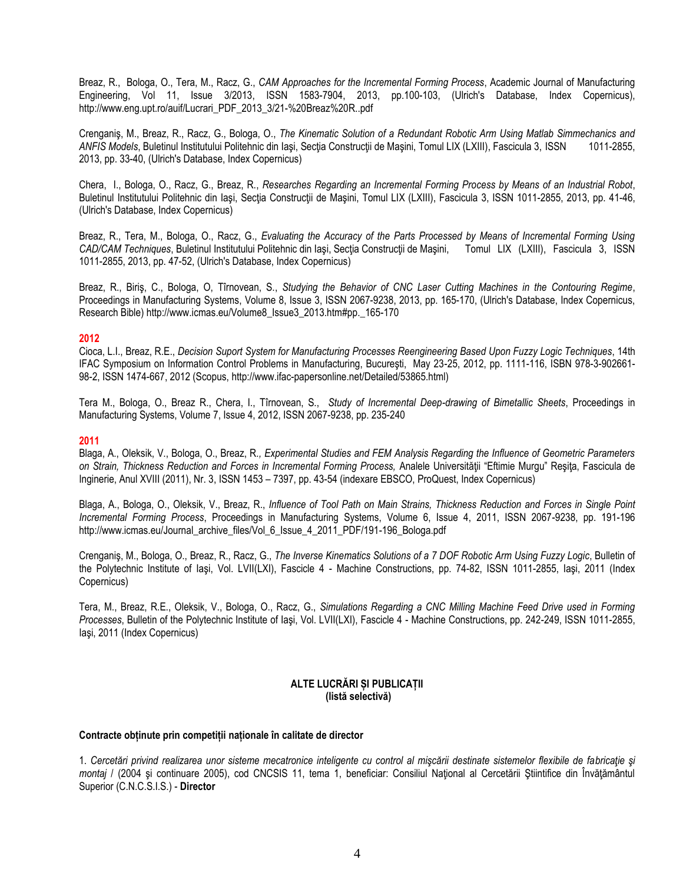Breaz, R., Bologa, O., Tera, M., Racz, G., *CAM Approaches for the Incremental Forming Process*, Academic Journal of Manufacturing Engineering, Vol 11, Issue 3/2013, ISSN 1583-7904, 2013, pp.100-103, (Ulrich's Database, Index Copernicus), http://www.eng.upt.ro/auif/Lucrari\_PDF\_2013\_3/21-%20Breaz%20R..pdf

Crenganiş, M., Breaz, R., Racz, G., Bologa, O., *The Kinematic Solution of a Redundant Robotic Arm Using Matlab Simmechanics and ANFIS Models*, Buletinul Institutului Politehnic din Iaşi, Secţia Construcţii de Maşini, Tomul LIX (LXIII), Fascicula 3, ISSN 1011-2855, 2013, pp. 33-40, (Ulrich's Database, Index Copernicus)

Chera, I., Bologa, O., Racz, G., Breaz, R., *Researches Regarding an Incremental Forming Process by Means of an Industrial Robot*, Buletinul Institutului Politehnic din Iași, Secția Construcții de Mașini, Tomul LIX (LXIII), Fascicula 3, ISSN 1011-2855, 2013, pp. 41-46, (Ulrich's Database, Index Copernicus)

Breaz, R., Tera, M., Bologa, O., Racz, G., *Evaluating the Accuracy of the Parts Processed by Means of Incremental Forming Using CAD/CAM Techniques*, Buletinul Institutului Politehnic din Iaşi, Secţia Construcţii de Maşini, Tomul LIX (LXIII), Fascicula 3, ISSN 1011-2855, 2013, pp. 47-52, (Ulrich's Database, Index Copernicus)

Breaz, R., Biriş, C., Bologa, O, Tîrnovean, S., *Studying the Behavior of CNC Laser Cutting Machines in the Contouring Regime*, Proceedings in Manufacturing Systems, Volume 8, Issue 3, ISSN 2067-9238, 2013, pp. 165-170, (Ulrich's Database, Index Copernicus, Research Bible) http://www.icmas.eu/Volume8\_Issue3\_2013.htm#pp.\_165-170

#### **2012**

Cioca, L.I., Breaz, R.E., *Decision Suport System for Manufacturing Processes Reengineering Based Upon Fuzzy Logic Techniques*, 14th IFAC Symposium on Information Control Problems in Manufacturing, Bucureşti, May 23-25, 2012, pp. 1111-116, ISBN 978-3-902661- 98-2, ISSN 1474-667, 2012 (Scopus, http://www.ifac-papersonline.net/Detailed/53865.html)

Tera M., Bologa, O., Breaz R., Chera, I., Tîrnovean, S., *Study of Incremental Deep-drawing of Bimetallic Sheets*, Proceedings in Manufacturing Systems, Volume 7, Issue 4, 2012, ISSN 2067-9238, pp. 235-240

### **2011**

Blaga, A., Oleksik, V., Bologa, O., Breaz, R*., Experimental Studies and FEM Analysis Regarding the Influence of Geometric Parameters on Strain, Thickness Reduction and Forces in Incremental Forming Process,* Analele Universităţii "Eftimie Murgu" Reşiţa, Fascicula de Inginerie, Anul XVIII (2011), Nr. 3, ISSN 1453 – 7397, pp. 43-54 (indexare EBSCO, ProQuest, Index Copernicus)

Blaga, A., Bologa, O., Oleksik, V., Breaz, R., *Influence of Tool Path on Main Strains, Thickness Reduction and Forces in Single Point Incremental Forming Process*, Proceedings in Manufacturing Systems, Volume 6, Issue 4, 2011, ISSN 2067-9238, pp. 191-196 http://www.icmas.eu/Journal\_archive\_files/Vol\_6\_Issue\_4\_2011\_PDF/191-196\_Bologa.pdf

Crenganiş, M., Bologa, O., Breaz, R., Racz, G., *The Inverse Kinematics Solutions of a 7 DOF Robotic Arm Using Fuzzy Logic*, Bulletin of the Polytechnic Institute of Iaşi, Vol. LVII(LXI), Fascicle 4 - Machine Constructions, pp. 74-82, ISSN 1011-2855, Iaşi, 2011 (Index Copernicus)

Tera, M., Breaz, R.E., Oleksik, V., Bologa, O., Racz, G., *Simulations Regarding a CNC Milling Machine Feed Drive used in Forming Processes*, Bulletin of the Polytechnic Institute of Iaşi, Vol. LVII(LXI), Fascicle 4 - Machine Constructions, pp. 242-249, ISSN 1011-2855, Iaşi, 2011 (Index Copernicus)

## **ALTE LUCRĂRI ȘI PUBLICAȚII (listă selectivă)**

### **Contracte obținute prin competiții naționale în calitate de director**

1. *Cercetări privind realizarea unor sisteme mecatronice inteligente cu control al mişcării destinate sistemelor flexibile de fabricaţie şi montaj* / (2004 şi continuare 2005), cod CNCSIS 11, tema 1, beneficiar: Consiliul Naţional al Cercetării Ştiintifice din Învăţământul Superior (C.N.C.S.I.S.) - **Director**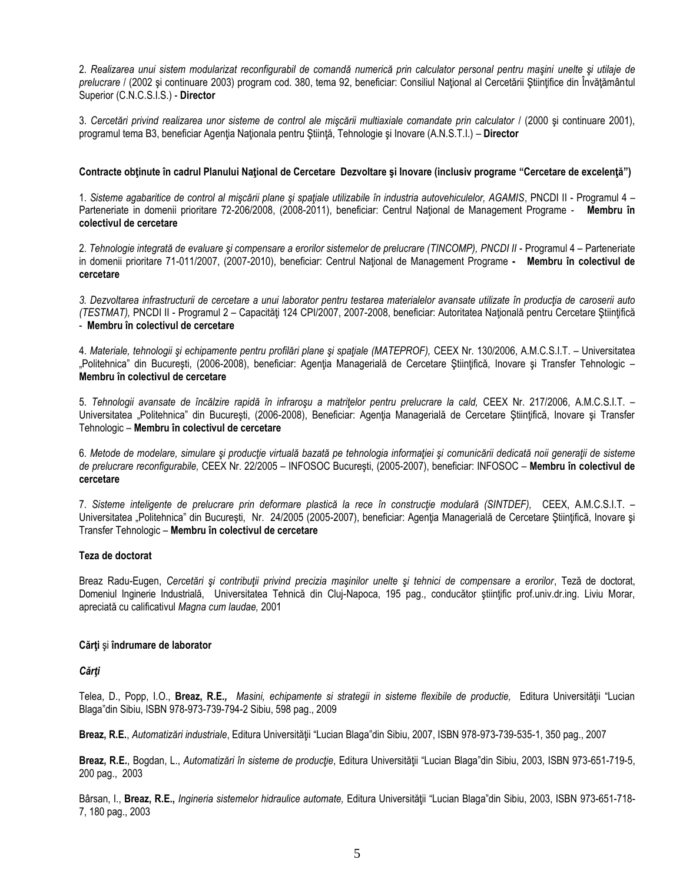2. *Realizarea unui sistem modularizat reconfigurabil de comandă numerică prin calculator personal pentru maşini unelte şi utilaje de prelucrare* / (2002 şi continuare 2003) program cod. 380, tema 92, beneficiar: Consiliul Naţional al Cercetării Ştiinţifice din Învăţământul Superior (C.N.C.S.I.S.) - **Director**

3. *Cercetări privind realizarea unor sisteme de control ale mişcării multiaxiale comandate prin calculator* / (2000 şi continuare 2001), programul tema B3, beneficiar Agenţia Naţionala pentru Ştiinţă, Tehnologie şi Inovare (A.N.S.T.I.) – **Director**

#### **Contracte obţinute în cadrul Planului Naţional de Cercetare Dezvoltare şi Inovare (inclusiv programe "Cercetare de excelenţă")**

1. *Sisteme agabaritice de control al mişcării plane şi spaţiale utilizabile în industria autovehiculelor, AGAMIS*, PNCDI II - Programul 4 – Parteneriate in domenii prioritare 72-206/2008, (2008-2011), beneficiar: Centrul Naţional de Management Programe - **Membru în colectivul de cercetare**

2*. Tehnologie integrată de evaluare şi compensare a erorilor sistemelor de prelucrare (TINCOMP), PNCDI II* - Programul 4 – Parteneriate in domenii prioritare 71-011/2007, (2007-2010), beneficiar: Centrul National de Management Programe - **Membru în colectivul de cercetare**

*3. Dezvoltarea infrastructurii de cercetare a unui laborator pentru testarea materialelor avansate utilizate în producţia de caroserii auto (TESTMAT),* PNCDI II - Programul 2 – Capacităţi 124 CPI/2007, 2007-2008, beneficiar: Autoritatea Naţională pentru Cercetare Ştiinţifică - **Membru în colectivul de cercetare**

4. *Materiale, tehnologii şi echipamente pentru profilări plane şi spaţiale (MATEPROF),* CEEX Nr. 130/2006, A.M.C.S.I.T. – Universitatea "Politehnica" din București, (2006-2008), beneficiar: Agenția Managerială de Cercetare Științifică, Inovare și Transfer Tehnologic – **Membru în colectivul de cercetare**

5. *Tehnologii avansate de încălzire rapidă în infraroşu a matriţelor pentru prelucrare la cald,* CEEX Nr. 217/2006, A.M.C.S.I.T. – Universitatea "Politehnica" din București, (2006-2008), Beneficiar: Agenția Managerială de Cercetare Științifică, Inovare și Transfer Tehnologic – **Membru în colectivul de cercetare**

6*. Metode de modelare, simulare şi producţie virtuală bazată pe tehnologia informaţiei şi comunicării dedicată noii generaţii de sisteme de prelucrare reconfigurabile,* CEEX Nr. 22/2005 – INFOSOC Bucureşti, (2005-2007), beneficiar: INFOSOC – **Membru în colectivul de cercetare**

7. *Sisteme inteligente de prelucrare prin deformare plastică la rece în construcţie modulară (SINTDEF),* CEEX, A.M.C.S.I.T. – Universitatea "Politehnica" din București, Nr. 24/2005 (2005-2007), beneficiar: Agenția Managerială de Cercetare Stiințifică, Inovare și Transfer Tehnologic – **Membru în colectivul de cercetare**

#### **Teza de doctorat**

Breaz Radu-Eugen, *Cercetări şi contribuţii privind precizia maşinilor unelte şi tehnici de compensare a erorilor*, Teză de doctorat, Domeniul Inginerie Industrială, Universitatea Tehnică din Cluj-Napoca, 195 pag., conducător științific prof.univ.dr.ing. Liviu Morar, apreciată cu calificativul *Magna cum laudae,* 2001

### **Cărţi** şi **îndrumare de laborator**

#### *Cărţi*

Telea, D., Popp, I.O., **Breaz, R.E***., Masini, echipamente si strategii in sisteme flexibile de productie,* Editura Universităţii "Lucian Blaga"din Sibiu, ISBN 978-973-739-794-2 Sibiu, 598 pag., 2009

**Breaz, R.E.**, *Automatizări industriale*, Editura Universităţii "Lucian Blaga"din Sibiu, 2007, ISBN 978-973-739-535-1, 350 pag., 2007

**Breaz, R.E.**, Bogdan, L., *Automatizări în sisteme de producţie*, Editura Universităţii "Lucian Blaga"din Sibiu, 2003, ISBN 973-651-719-5, 200 pag., 2003

Bârsan, I., **Breaz, R.E.,** *Ingineria sistemelor hidraulice automate,* Editura Universităţii "Lucian Blaga"din Sibiu, 2003, ISBN 973-651-718- 7, 180 pag., 2003